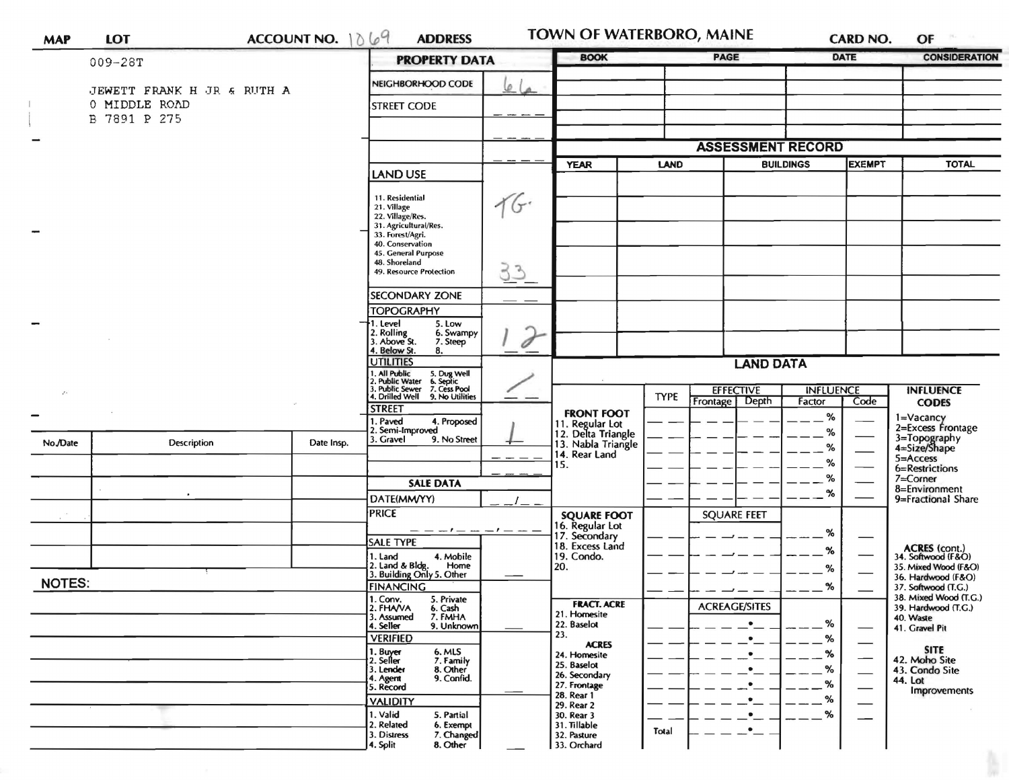| <b>MAP</b>    | <b>LOT</b>                                  | ACCOUNT NO. $1069$ |            | <b>ADDRESS</b>                                                                                                                                                                         |                  | TOWN OF WATERBORO, MAINE                                                         |             |                                    |                            | <b>CARD NO.</b> | OF                                                                               |
|---------------|---------------------------------------------|--------------------|------------|----------------------------------------------------------------------------------------------------------------------------------------------------------------------------------------|------------------|----------------------------------------------------------------------------------|-------------|------------------------------------|----------------------------|-----------------|----------------------------------------------------------------------------------|
|               | $009 - 28T$                                 |                    |            | <b>PROPERTY DATA</b>                                                                                                                                                                   |                  | <b>BOOK</b>                                                                      |             | <b>PAGE</b>                        |                            | DATE            | <b>CONSIDERATION</b>                                                             |
|               | JEWETT FRANK H JR & RUTH A<br>0 MIDDLE ROAD |                    |            | NEIGHBORHOOD CODE                                                                                                                                                                      | ø                |                                                                                  |             |                                    |                            |                 |                                                                                  |
|               | B 7891 P 275                                |                    |            | <b>STREET CODE</b>                                                                                                                                                                     |                  |                                                                                  |             |                                    |                            |                 |                                                                                  |
|               |                                             |                    |            |                                                                                                                                                                                        |                  | <b>ASSESSMENT RECORD</b>                                                         |             |                                    |                            |                 |                                                                                  |
|               |                                             |                    |            | <b>LAND USE</b>                                                                                                                                                                        |                  | <b>YEAR</b>                                                                      | <b>LAND</b> |                                    | <b>BUILDINGS</b>           | <b>EXEMPT</b>   | <b>TOTAL</b>                                                                     |
|               |                                             |                    |            | 11. Residential<br>21. Village<br>22. Village/Res.<br>31. Agricultural/Res.<br>33. Forest/Agri.<br>40. Conservation<br>45. General Purpose<br>48. Shoreland<br>49. Resource Protection | 16.<br><u>33</u> |                                                                                  |             |                                    |                            |                 |                                                                                  |
|               |                                             |                    |            | <b>SECONDARY ZONE</b>                                                                                                                                                                  |                  |                                                                                  |             |                                    |                            |                 |                                                                                  |
|               |                                             |                    |            | <b>TOPOGRAPHY</b><br>1. Level<br>5. Low<br>2. Rolling<br>3. Above St.<br>6. Swampy<br>7. Steep<br>4. Below St.<br>8.                                                                   | $\sigma$         |                                                                                  |             |                                    |                            |                 |                                                                                  |
|               |                                             |                    |            | <b>UTILITIES</b>                                                                                                                                                                       | <b>LAND DATA</b> |                                                                                  |             |                                    |                            |                 |                                                                                  |
| $\cdot$       |                                             |                    |            | . All Public<br>. Public Water<br>. Public Sewer<br>5. Dug Well<br>6. Septic<br>7. Cess Pool<br>4. Drilled Well<br>9. No Utilities                                                     |                  |                                                                                  | <b>TYPE</b> | <b>EFFECTIVE</b><br>Frontage Depth | <b>INFLUENCE</b><br>Factor | Code            | <b>INFLUENCE</b><br><b>CODES</b>                                                 |
|               |                                             |                    |            | <b>STREET</b><br>1. Paved<br>4. Proposed<br>2. Semi-Improved                                                                                                                           |                  | <b>FRONT FOOT</b><br>11. Regular Lot<br>12. Delta Triangle<br>13. Nabla Triangle |             |                                    | %<br>%                     |                 | 1=Vacancy<br>2=Excess Frontage                                                   |
| No./Date      | Description                                 |                    | Date Insp. | 3. Gravel<br>9. No Street                                                                                                                                                              |                  | 14. Rear Land                                                                    |             |                                    | %                          |                 | 3=Topography<br>4=Size/Shape<br>5=Access                                         |
|               |                                             |                    |            | <b>SALE DATA</b>                                                                                                                                                                       |                  | 15.                                                                              |             |                                    | %<br>%                     |                 | 6=Restrictions<br>7=Corner                                                       |
|               |                                             |                    |            | DATE(MM/YY)                                                                                                                                                                            |                  |                                                                                  |             |                                    | $\%$                       |                 | 8=Environment<br>9=Fractional Share                                              |
|               |                                             |                    |            | <b>PRICE</b>                                                                                                                                                                           |                  | <b>SQUARE FOOT</b><br>16. Regular Lot                                            |             | <b>SQUARE FEET</b>                 | %                          |                 |                                                                                  |
|               |                                             |                    |            | <b>SALE TYPE</b><br>4. Mobile<br>1. Land                                                                                                                                               |                  | 17. Secondary<br>18. Excess Land<br>19. Condo.                                   |             |                                    | %                          |                 | ACRES (cont.)<br>34. Softwood (F&O)                                              |
| <b>NOTES:</b> |                                             |                    |            | 2. Land & Bldg. Home<br>3. Building Only 5. Other<br>Home                                                                                                                              |                  | 20.                                                                              |             |                                    | %                          |                 | 35. Mixed Wood (F&O)<br>36. Hardwood (F&O)                                       |
|               |                                             |                    |            | <b>FINANCING</b><br>1. Conv.<br>5. Private<br>2. FHAVA<br>6. Cash<br>7. FMHA<br>3. Assumed                                                                                             |                  | <b>FRACT. ACRE</b><br>21. Homesite                                               |             | <b>ACREAGE/SITES</b>               | %                          |                 | 37. Softwood (T.G.)<br>38. Mixed Wood (T.G.)<br>39. Hardwood (T.G.)<br>40. Waste |
|               |                                             |                    |            | 9. Unknown<br>4. Seller<br><b>VERIFIED</b>                                                                                                                                             |                  | 22. Baselot<br>23.<br><b>ACRES</b>                                               |             |                                    | %<br>%                     |                 | 41. Gravel Pit                                                                   |
|               |                                             |                    |            | 1. Buyer<br>2. Seller<br>6. MLS<br>7. Family<br>8. Other<br>3. Lender<br>9. Confid.<br>4. Agent<br>5. Record                                                                           |                  | 24. Homesite<br>25. Baselot<br>26. Secondary<br>27. Frontage                     |             |                                    | ℅<br>%<br>%                |                 | <b>SITE</b><br>42. Moho Site<br>43. Condo Site<br>44. Lot<br>Improvements        |
|               |                                             |                    |            | <b>VALIDITY</b><br>1. Valid<br>5. Partial<br>2. Related<br>6. Exempt                                                                                                                   |                  | 28. Rear 1<br>29. Rear 2<br>30. Rear 3<br>31. Tillable                           |             |                                    | %<br>%                     |                 |                                                                                  |
|               |                                             |                    |            | 3. Distress<br>7. Changed<br>4. Split<br>8. Other                                                                                                                                      |                  | 32. Pasture<br>33. Orchard                                                       | Total       |                                    |                            |                 |                                                                                  |